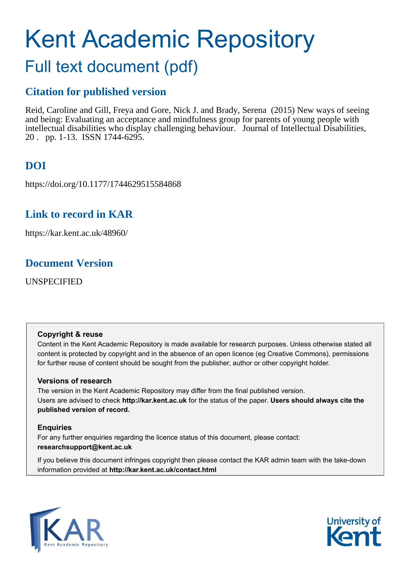# Kent Academic Repository

## Full text document (pdf)

### **Citation for published version**

Reid, Caroline and Gill, Freya and Gore, Nick J. and Brady, Serena (2015) New ways of seeing and being: Evaluating an acceptance and mindfulness group for parents of young people with intellectual disabilities who display challenging behaviour. Journal of Intellectual Disabilities, 20 . pp. 1-13. ISSN 1744-6295.

## **DOI**

https://doi.org/10.1177/1744629515584868

## **Link to record in KAR**

https://kar.kent.ac.uk/48960/

## **Document Version**

UNSPECIFIED

#### **Copyright & reuse**

Content in the Kent Academic Repository is made available for research purposes. Unless otherwise stated all content is protected by copyright and in the absence of an open licence (eg Creative Commons), permissions for further reuse of content should be sought from the publisher, author or other copyright holder.

#### **Versions of research**

The version in the Kent Academic Repository may differ from the final published version. Users are advised to check **http://kar.kent.ac.uk** for the status of the paper. **Users should always cite the published version of record.**

#### **Enquiries**

For any further enquiries regarding the licence status of this document, please contact: **researchsupport@kent.ac.uk**

If you believe this document infringes copyright then please contact the KAR admin team with the take-down information provided at **http://kar.kent.ac.uk/contact.html**



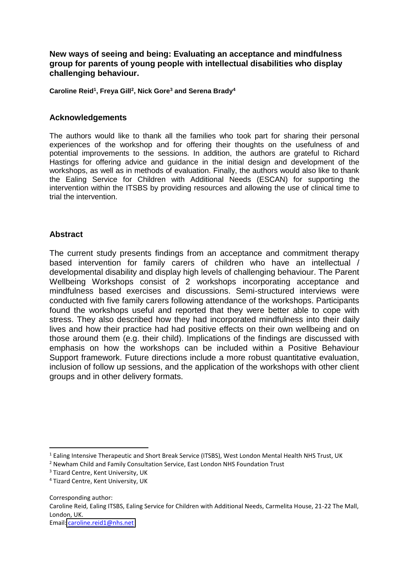**New ways of seeing and being: Evaluating an acceptance and mindfulness group for parents of young people with intellectual disabilities who display challenging behaviour.** 

**Caroline Reid<sup>1</sup> , Freya Gill<sup>2</sup> , Nick Gore<sup>3</sup> and Serena Brady<sup>4</sup>**

#### **Acknowledgements**

The authors would like to thank all the families who took part for sharing their personal experiences of the workshop and for offering their thoughts on the usefulness of and potential improvements to the sessions. In addition, the authors are grateful to Richard Hastings for offering advice and guidance in the initial design and development of the workshops, as well as in methods of evaluation. Finally, the authors would also like to thank the Ealing Service for Children with Additional Needs (ESCAN) for supporting the intervention within the ITSBS by providing resources and allowing the use of clinical time to trial the intervention.

#### **Abstract**

The current study presents findings from an acceptance and commitment therapy based intervention for family carers of children who have an intellectual / developmental disability and display high levels of challenging behaviour. The Parent Wellbeing Workshops consist of 2 workshops incorporating acceptance and mindfulness based exercises and discussions. Semi-structured interviews were conducted with five family carers following attendance of the workshops. Participants found the workshops useful and reported that they were better able to cope with stress. They also described how they had incorporated mindfulness into their daily lives and how their practice had had positive effects on their own wellbeing and on those around them (e.g. their child). Implications of the findings are discussed with emphasis on how the workshops can be included within a Positive Behaviour Support framework. Future directions include a more robust quantitative evaluation, inclusion of follow up sessions, and the application of the workshops with other client groups and in other delivery formats.

<u>.</u>

Corresponding author: Caroline Reid, Ealing ITSBS, Ealing Service for Children with Additional Needs, Carmelita House, 21-22 The Mall, London, UK. Email: [caroline.reid1@nhs.net](mailto:caroline.reid1@nhs.net)

<sup>&</sup>lt;sup>1</sup> Ealing Intensive Therapeutic and Short Break Service (ITSBS), West London Mental Health NHS Trust, UK

<sup>&</sup>lt;sup>2</sup> Newham Child and Family Consultation Service, East London NHS Foundation Trust

<sup>&</sup>lt;sup>3</sup> Tizard Centre, Kent University, UK

<sup>4</sup> Tizard Centre, Kent University, UK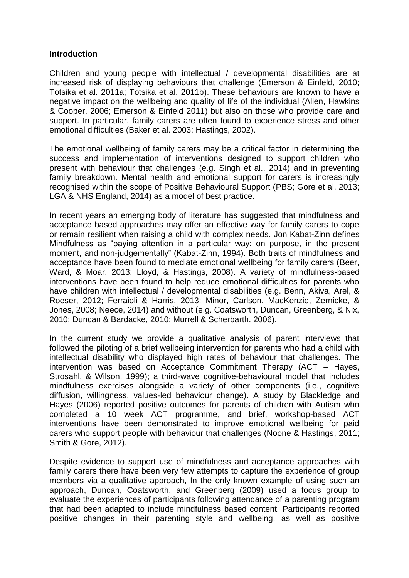#### **Introduction**

Children and young people with intellectual / developmental disabilities are at increased risk of displaying behaviours that challenge (Emerson & Einfeld, 2010; Totsika et al. 2011a; Totsika et al. 2011b). These behaviours are known to have a negative impact on the wellbeing and quality of life of the individual (Allen, Hawkins & Cooper, 2006; Emerson & Einfeld 2011) but also on those who provide care and support. In particular, family carers are often found to experience stress and other emotional difficulties (Baker et al. 2003; Hastings, 2002).

The emotional wellbeing of family carers may be a critical factor in determining the success and implementation of interventions designed to support children who present with behaviour that challenges (e.g. Singh et al., 2014) and in preventing family breakdown. Mental health and emotional support for carers is increasingly recognised within the scope of Positive Behavioural Support (PBS; Gore et al, 2013; LGA & NHS England, 2014) as a model of best practice.

In recent years an emerging body of literature has suggested that mindfulness and acceptance based approaches may offer an effective way for family carers to cope or remain resilient when raising a child with complex needs. Jon Kabat-Zinn defines Mindfulness as "paying attention in a particular way: on purpose, in the present moment, and non-judgementally" (Kabat-Zinn, 1994). Both traits of mindfulness and acceptance have been found to mediate emotional wellbeing for family carers (Beer, Ward, & Moar, 2013; Lloyd, & Hastings, 2008). A variety of mindfulness-based interventions have been found to help reduce emotional difficulties for parents who have children with intellectual / developmental disabilities (e.g. Benn, Akiva, Arel, & Roeser, 2012; Ferraioli & Harris, 2013; Minor, Carlson, MacKenzie, Zernicke, & Jones, 2008; Neece, 2014) and without (e.g. Coatsworth, Duncan, Greenberg, & Nix, 2010; Duncan & Bardacke, 2010; Murrell & Scherbarth. 2006).

In the current study we provide a qualitative analysis of parent interviews that followed the piloting of a brief wellbeing intervention for parents who had a child with intellectual disability who displayed high rates of behaviour that challenges. The intervention was based on Acceptance Commitment Therapy (ACT – Hayes, Strosahl, & Wilson, 1999); a third-wave cognitive-behavioural model that includes mindfulness exercises alongside a variety of other components (i.e., cognitive diffusion, willingness, values-led behaviour change). A study by Blackledge and Hayes (2006) reported positive outcomes for parents of children with Autism who completed a 10 week ACT programme, and brief, workshop-based ACT interventions have been demonstrated to improve emotional wellbeing for paid carers who support people with behaviour that challenges (Noone & Hastings, 2011; Smith & Gore, 2012).

Despite evidence to support use of mindfulness and acceptance approaches with family carers there have been very few attempts to capture the experience of group members via a qualitative approach, In the only known example of using such an approach, Duncan, Coatsworth, and Greenberg (2009) used a focus group to evaluate the experiences of participants following attendance of a parenting program that had been adapted to include mindfulness based content. Participants reported positive changes in their parenting style and wellbeing, as well as positive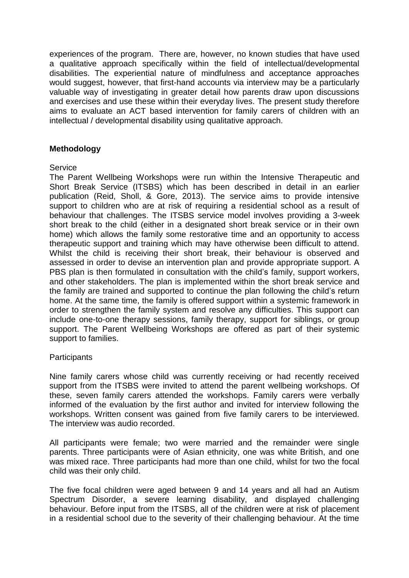experiences of the program. There are, however, no known studies that have used a qualitative approach specifically within the field of intellectual/developmental disabilities. The experiential nature of mindfulness and acceptance approaches would suggest, however, that first-hand accounts via interview may be a particularly valuable way of investigating in greater detail how parents draw upon discussions and exercises and use these within their everyday lives. The present study therefore aims to evaluate an ACT based intervention for family carers of children with an intellectual / developmental disability using qualitative approach.

#### **Methodology**

#### **Service**

The Parent Wellbeing Workshops were run within the Intensive Therapeutic and Short Break Service (ITSBS) which has been described in detail in an earlier publication (Reid, Sholl, & Gore, 2013). The service aims to provide intensive support to children who are at risk of requiring a residential school as a result of behaviour that challenges. The ITSBS service model involves providing a 3-week short break to the child (either in a designated short break service or in their own home) which allows the family some restorative time and an opportunity to access therapeutic support and training which may have otherwise been difficult to attend. Whilst the child is receiving their short break, their behaviour is observed and assessed in order to devise an intervention plan and provide appropriate support. A PBS plan is then formulated in consultation with the child's family, support workers, and other stakeholders. The plan is implemented within the short break service and the family are trained and supported to continue the plan following the child's return home. At the same time, the family is offered support within a systemic framework in order to strengthen the family system and resolve any difficulties. This support can include one-to-one therapy sessions, family therapy, support for siblings, or group support. The Parent Wellbeing Workshops are offered as part of their systemic support to families.

#### **Participants**

Nine family carers whose child was currently receiving or had recently received support from the ITSBS were invited to attend the parent wellbeing workshops. Of these, seven family carers attended the workshops. Family carers were verbally informed of the evaluation by the first author and invited for interview following the workshops. Written consent was gained from five family carers to be interviewed. The interview was audio recorded.

All participants were female; two were married and the remainder were single parents. Three participants were of Asian ethnicity, one was white British, and one was mixed race. Three participants had more than one child, whilst for two the focal child was their only child.

The five focal children were aged between 9 and 14 years and all had an Autism Spectrum Disorder, a severe learning disability, and displayed challenging behaviour. Before input from the ITSBS, all of the children were at risk of placement in a residential school due to the severity of their challenging behaviour. At the time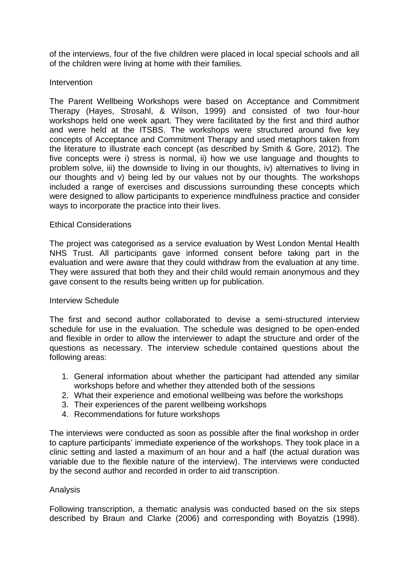of the interviews, four of the five children were placed in local special schools and all of the children were living at home with their families.

#### Intervention

The Parent Wellbeing Workshops were based on Acceptance and Commitment Therapy (Hayes, Strosahl, & Wilson, 1999) and consisted of two four-hour workshops held one week apart. They were facilitated by the first and third author and were held at the ITSBS. The workshops were structured around five key concepts of Acceptance and Commitment Therapy and used metaphors taken from the literature to illustrate each concept (as described by Smith & Gore, 2012). The five concepts were i) stress is normal, ii) how we use language and thoughts to problem solve, iii) the downside to living in our thoughts, iv) alternatives to living in our thoughts and v) being led by our values not by our thoughts. The workshops included a range of exercises and discussions surrounding these concepts which were designed to allow participants to experience mindfulness practice and consider ways to incorporate the practice into their lives.

#### Ethical Considerations

The project was categorised as a service evaluation by West London Mental Health NHS Trust. All participants gave informed consent before taking part in the evaluation and were aware that they could withdraw from the evaluation at any time. They were assured that both they and their child would remain anonymous and they gave consent to the results being written up for publication.

#### Interview Schedule

The first and second author collaborated to devise a semi-structured interview schedule for use in the evaluation. The schedule was designed to be open-ended and flexible in order to allow the interviewer to adapt the structure and order of the questions as necessary. The interview schedule contained questions about the following areas:

- 1. General information about whether the participant had attended any similar workshops before and whether they attended both of the sessions
- 2. What their experience and emotional wellbeing was before the workshops
- 3. Their experiences of the parent wellbeing workshops
- 4. Recommendations for future workshops

The interviews were conducted as soon as possible after the final workshop in order to capture participants' immediate experience of the workshops. They took place in a clinic setting and lasted a maximum of an hour and a half (the actual duration was variable due to the flexible nature of the interview). The interviews were conducted by the second author and recorded in order to aid transcription.

#### Analysis

Following transcription, a thematic analysis was conducted based on the six steps described by Braun and Clarke (2006) and corresponding with Boyatzis (1998).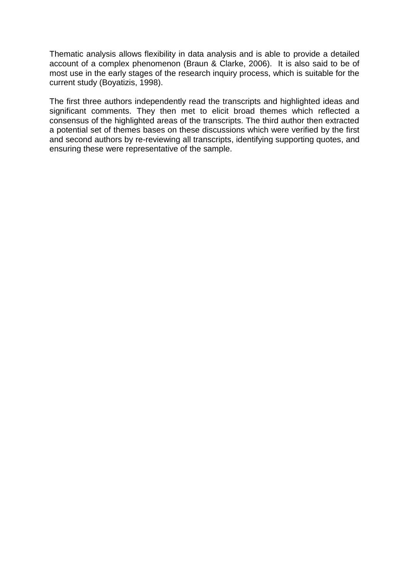Thematic analysis allows flexibility in data analysis and is able to provide a detailed account of a complex phenomenon (Braun & Clarke, 2006). It is also said to be of most use in the early stages of the research inquiry process, which is suitable for the current study (Boyatizis, 1998).

The first three authors independently read the transcripts and highlighted ideas and significant comments. They then met to elicit broad themes which reflected a consensus of the highlighted areas of the transcripts. The third author then extracted a potential set of themes bases on these discussions which were verified by the first and second authors by re-reviewing all transcripts, identifying supporting quotes, and ensuring these were representative of the sample.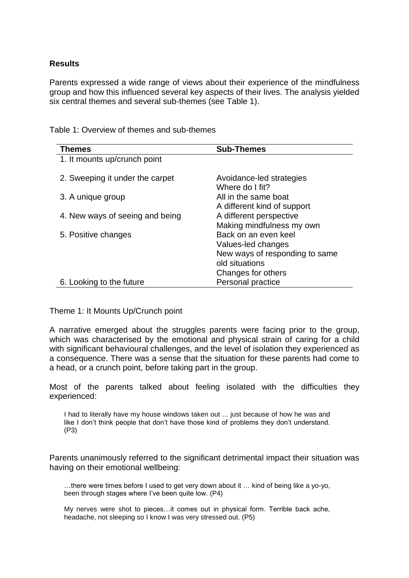#### **Results**

Parents expressed a wide range of views about their experience of the mindfulness group and how this influenced several key aspects of their lives. The analysis yielded six central themes and several sub-themes (see Table 1).

| <b>Themes</b>                   | <b>Sub-Themes</b>              |
|---------------------------------|--------------------------------|
| 1. It mounts up/crunch point    |                                |
|                                 |                                |
| 2. Sweeping it under the carpet | Avoidance-led strategies       |
|                                 | Where do I fit?                |
| 3. A unique group               | All in the same boat           |
|                                 | A different kind of support    |
| 4. New ways of seeing and being | A different perspective        |
|                                 | Making mindfulness my own      |
| 5. Positive changes             | Back on an even keel           |
|                                 | Values-led changes             |
|                                 | New ways of responding to same |
|                                 | old situations                 |
|                                 | Changes for others             |
| 6. Looking to the future        | Personal practice              |

Table 1: Overview of themes and sub-themes

Theme 1: It Mounts Up/Crunch point

A narrative emerged about the struggles parents were facing prior to the group, which was characterised by the emotional and physical strain of caring for a child with significant behavioural challenges, and the level of isolation they experienced as a consequence. There was a sense that the situation for these parents had come to a head, or a crunch point, before taking part in the group.

Most of the parents talked about feeling isolated with the difficulties they experienced:

I had to literally have my house windows taken out ... just because of how he was and like I don't think people that don't have those kind of problems they don't understand. (P3)

Parents unanimously referred to the significant detrimental impact their situation was having on their emotional wellbeing:

…there were times before I used to get very down about it … kind of being like a yo-yo, been through stages where I've been quite low. (P4)

My nerves were shot to pieces…it comes out in physical form. Terrible back ache, headache, not sleeping so I know I was very stressed out. (P5)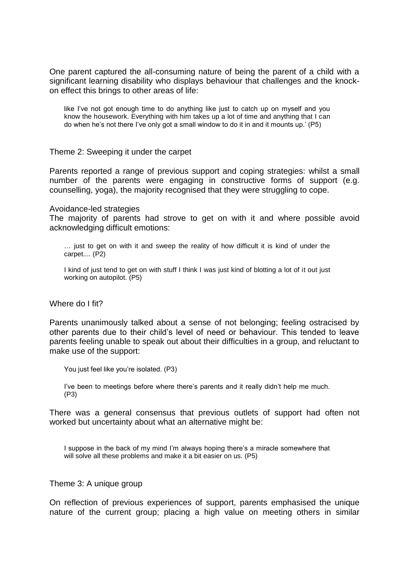One parent captured the all-consuming nature of being the parent of a child with a significant learning disability who displays behaviour that challenges and the knockon effect this brings to other areas of life:

like I've not got enough time to do anything like just to catch up on myself and you know the housework. Everything with him takes up a lot of time and anything that I can do when he's not there I've only got a small window to do it in and it mounts up.' (P5)

Theme 2: Sweeping it under the carpet

Parents reported a range of previous support and coping strategies: whilst a small number of the parents were engaging in constructive forms of support (e.g. counselling, yoga), the majority recognised that they were struggling to cope.

Avoidance-led strategies

The majority of parents had strove to get on with it and where possible avoid acknowledging difficult emotions:

… just to get on with it and sweep the reality of how difficult it is kind of under the carpet.... (P2)

I kind of just tend to get on with stuff I think I was just kind of blotting a lot of it out just working on autopilot. (P5)

Where do I fit?

Parents unanimously talked about a sense of not belonging; feeling ostracised by other parents due to their child's level of need or behaviour. This tended to leave parents feeling unable to speak out about their difficulties in a group, and reluctant to make use of the support:

```
You just feel like you're isolated. (P3)
```
I've been to meetings before where there's parents and it really didn't help me much. (P3)

There was a general consensus that previous outlets of support had often not worked but uncertainty about what an alternative might be:

I suppose in the back of my mind I'm always hoping there's a miracle somewhere that will solve all these problems and make it a bit easier on us. (P5)

Theme 3: A unique group

On reflection of previous experiences of support, parents emphasised the unique nature of the current group; placing a high value on meeting others in similar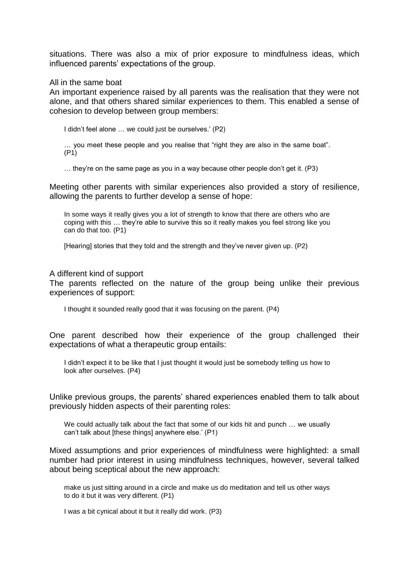situations. There was also a mix of prior exposure to mindfulness ideas, which influenced parents' expectations of the group.

#### All in the same boat

An important experience raised by all parents was the realisation that they were not alone, and that others shared similar experiences to them. This enabled a sense of cohesion to develop between group members:

I didn't feel alone … we could just be ourselves.' (P2)

… you meet these people and you realise that "right they are also in the same boat". (P1)

… they're on the same page as you in a way because other people don't get it. (P3)

Meeting other parents with similar experiences also provided a story of resilience, allowing the parents to further develop a sense of hope:

In some ways it really gives you a lot of strength to know that there are others who are coping with this … they're able to survive this so it really makes you feel strong like you can do that too. (P1)

[Hearing] stories that they told and the strength and they've never given up. (P2)

#### A different kind of support

The parents reflected on the nature of the group being unlike their previous experiences of support:

I thought it sounded really good that it was focusing on the parent. (P4)

One parent described how their experience of the group challenged their expectations of what a therapeutic group entails:

I didn't expect it to be like that I just thought it would just be somebody telling us how to look after ourselves. (P4)

Unlike previous groups, the parents' shared experiences enabled them to talk about previously hidden aspects of their parenting roles:

We could actually talk about the fact that some of our kids hit and punch ... we usually can't talk about [these things] anywhere else.' (P1)

Mixed assumptions and prior experiences of mindfulness were highlighted: a small number had prior interest in using mindfulness techniques, however, several talked about being sceptical about the new approach:

make us just sitting around in a circle and make us do meditation and tell us other ways to do it but it was very different. (P1)

I was a bit cynical about it but it really did work. (P3)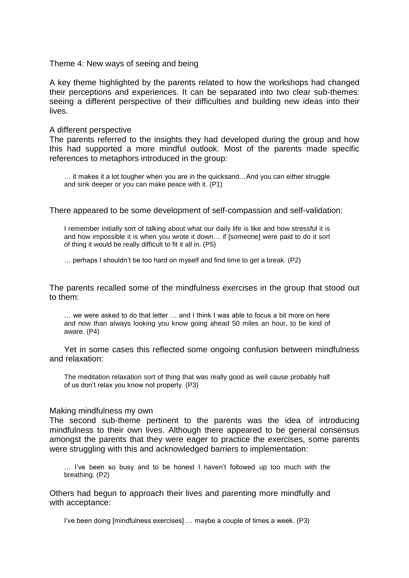Theme 4: New ways of seeing and being

A key theme highlighted by the parents related to how the workshops had changed their perceptions and experiences. It can be separated into two clear sub-themes: seeing a different perspective of their difficulties and building new ideas into their lives.

#### A different perspective

The parents referred to the insights they had developed during the group and how this had supported a more mindful outlook. Most of the parents made specific references to metaphors introduced in the group:

… it makes it a lot tougher when you are in the quicksand…And you can either struggle and sink deeper or you can make peace with it. (P1)

There appeared to be some development of self-compassion and self-validation:

I remember initially sort of talking about what our daily life is like and how stressful it is and how impossible it is when you wrote it down… if [someone] were paid to do it sort of thing it would be really difficult to fit it all in. (P5)

… perhaps I shouldn't be too hard on myself and find time to get a break. (P2)

The parents recalled some of the mindfulness exercises in the group that stood out to them:

… we were asked to do that letter … and I think I was able to focus a bit more on here and now than always looking you know going ahead 50 miles an hour, to be kind of aware. (P4)

Yet in some cases this reflected some ongoing confusion between mindfulness and relaxation:

The meditation relaxation sort of thing that was really good as well cause probably half of us don't relax you know not properly. (P3)

#### Making mindfulness my own

The second sub-theme pertinent to the parents was the idea of introducing mindfulness to their own lives. Although there appeared to be general consensus amongst the parents that they were eager to practice the exercises, some parents were struggling with this and acknowledged barriers to implementation:

… I've been so busy and to be honest I haven't followed up too much with the breathing. (P2)

Others had begun to approach their lives and parenting more mindfully and with acceptance:

I've been doing [mindfulness exercises] … maybe a couple of times a week. (P3)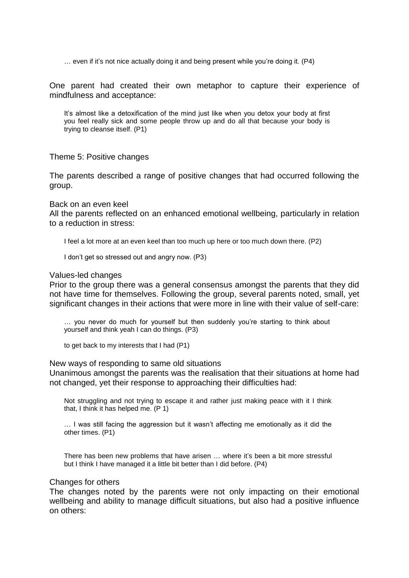… even if it's not nice actually doing it and being present while you're doing it. (P4)

One parent had created their own metaphor to capture their experience of mindfulness and acceptance:

It's almost like a detoxification of the mind just like when you detox your body at first you feel really sick and some people throw up and do all that because your body is trying to cleanse itself. (P1)

Theme 5: Positive changes

The parents described a range of positive changes that had occurred following the group.

Back on an even keel

All the parents reflected on an enhanced emotional wellbeing, particularly in relation to a reduction in stress:

I feel a lot more at an even keel than too much up here or too much down there. (P2)

I don't get so stressed out and angry now. (P3)

Values-led changes

Prior to the group there was a general consensus amongst the parents that they did not have time for themselves. Following the group, several parents noted, small, yet significant changes in their actions that were more in line with their value of self-care:

… you never do much for yourself but then suddenly you're starting to think about yourself and think yeah I can do things. (P3)

to get back to my interests that I had (P1)

New ways of responding to same old situations

Unanimous amongst the parents was the realisation that their situations at home had not changed, yet their response to approaching their difficulties had:

Not struggling and not trying to escape it and rather just making peace with it I think that, I think it has helped me. (P 1)

… I was still facing the aggression but it wasn't affecting me emotionally as it did the other times. (P1)

There has been new problems that have arisen … where it's been a bit more stressful but I think I have managed it a little bit better than I did before. (P4)

#### Changes for others

The changes noted by the parents were not only impacting on their emotional wellbeing and ability to manage difficult situations, but also had a positive influence on others: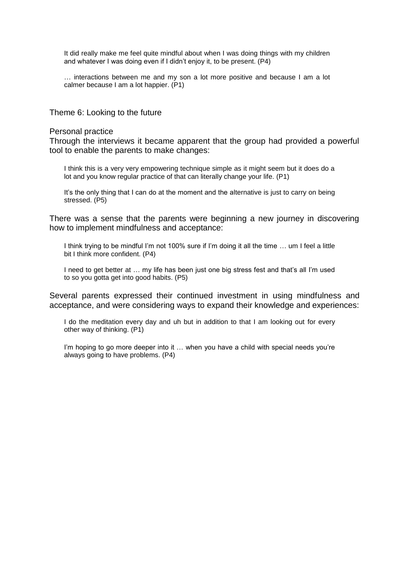It did really make me feel quite mindful about when I was doing things with my children and whatever I was doing even if I didn't enjoy it, to be present. (P4)

… interactions between me and my son a lot more positive and because I am a lot calmer because I am a lot happier. (P1)

Theme 6: Looking to the future

#### Personal practice

Through the interviews it became apparent that the group had provided a powerful tool to enable the parents to make changes:

I think this is a very very empowering technique simple as it might seem but it does do a lot and you know regular practice of that can literally change your life. (P1)

It's the only thing that I can do at the moment and the alternative is just to carry on being stressed. (P5)

There was a sense that the parents were beginning a new journey in discovering how to implement mindfulness and acceptance:

I think trying to be mindful I'm not 100% sure if I'm doing it all the time … um I feel a little bit I think more confident. (P4)

I need to get better at … my life has been just one big stress fest and that's all I'm used to so you gotta get into good habits. (P5)

Several parents expressed their continued investment in using mindfulness and acceptance, and were considering ways to expand their knowledge and experiences:

I do the meditation every day and uh but in addition to that I am looking out for every other way of thinking. (P1)

I'm hoping to go more deeper into it ... when you have a child with special needs you're always going to have problems. (P4)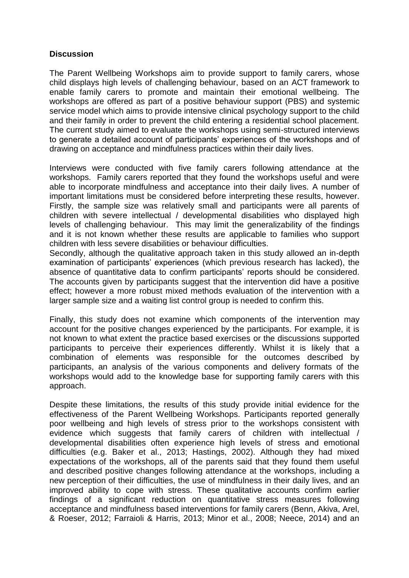#### **Discussion**

The Parent Wellbeing Workshops aim to provide support to family carers, whose child displays high levels of challenging behaviour, based on an ACT framework to enable family carers to promote and maintain their emotional wellbeing. The workshops are offered as part of a positive behaviour support (PBS) and systemic service model which aims to provide intensive clinical psychology support to the child and their family in order to prevent the child entering a residential school placement. The current study aimed to evaluate the workshops using semi-structured interviews to generate a detailed account of participants' experiences of the workshops and of drawing on acceptance and mindfulness practices within their daily lives.

Interviews were conducted with five family carers following attendance at the workshops. Family carers reported that they found the workshops useful and were able to incorporate mindfulness and acceptance into their daily lives. A number of important limitations must be considered before interpreting these results, however. Firstly, the sample size was relatively small and participants were all parents of children with severe intellectual / developmental disabilities who displayed high levels of challenging behaviour. This may limit the generalizability of the findings and it is not known whether these results are applicable to families who support children with less severe disabilities or behaviour difficulties.

Secondly, although the qualitative approach taken in this study allowed an in-depth examination of participants' experiences (which previous research has lacked), the absence of quantitative data to confirm participants' reports should be considered. The accounts given by participants suggest that the intervention did have a positive effect; however a more robust mixed methods evaluation of the intervention with a larger sample size and a waiting list control group is needed to confirm this.

Finally, this study does not examine which components of the intervention may account for the positive changes experienced by the participants. For example, it is not known to what extent the practice based exercises or the discussions supported participants to perceive their experiences differently. Whilst it is likely that a combination of elements was responsible for the outcomes described by participants, an analysis of the various components and delivery formats of the workshops would add to the knowledge base for supporting family carers with this approach.

Despite these limitations, the results of this study provide initial evidence for the effectiveness of the Parent Wellbeing Workshops. Participants reported generally poor wellbeing and high levels of stress prior to the workshops consistent with evidence which suggests that family carers of children with intellectual / developmental disabilities often experience high levels of stress and emotional difficulties (e.g. Baker et al., 2013; Hastings, 2002). Although they had mixed expectations of the workshops, all of the parents said that they found them useful and described positive changes following attendance at the workshops, including a new perception of their difficulties, the use of mindfulness in their daily lives, and an improved ability to cope with stress. These qualitative accounts confirm earlier findings of a significant reduction on quantitative stress measures following acceptance and mindfulness based interventions for family carers (Benn, Akiva, Arel, & Roeser, 2012; Farraioli & Harris, 2013; Minor et al., 2008; Neece, 2014) and an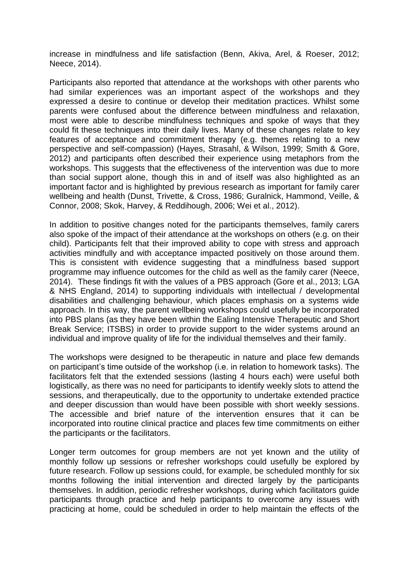increase in mindfulness and life satisfaction (Benn, Akiva, Arel, & Roeser, 2012; Neece, 2014).

Participants also reported that attendance at the workshops with other parents who had similar experiences was an important aspect of the workshops and they expressed a desire to continue or develop their meditation practices. Whilst some parents were confused about the difference between mindfulness and relaxation, most were able to describe mindfulness techniques and spoke of ways that they could fit these techniques into their daily lives. Many of these changes relate to key features of acceptance and commitment therapy (e.g. themes relating to a new perspective and self-compassion) (Hayes, Strasahl, & Wilson, 1999; Smith & Gore, 2012) and participants often described their experience using metaphors from the workshops. This suggests that the effectiveness of the intervention was due to more than social support alone, though this in and of itself was also highlighted as an important factor and is highlighted by previous research as important for family carer wellbeing and health (Dunst, Trivette, & Cross, 1986; Guralnick, Hammond, Veille, & Connor, 2008; Skok, Harvey, & Reddihough, 2006; Wei et al., 2012).

In addition to positive changes noted for the participants themselves, family carers also spoke of the impact of their attendance at the workshops on others (e.g. on their child). Participants felt that their improved ability to cope with stress and approach activities mindfully and with acceptance impacted positively on those around them. This is consistent with evidence suggesting that a mindfulness based support programme may influence outcomes for the child as well as the family carer (Neece, 2014). These findings fit with the values of a PBS approach (Gore et al., 2013; LGA & NHS England, 2014) to supporting individuals with intellectual / developmental disabilities and challenging behaviour, which places emphasis on a systems wide approach. In this way, the parent wellbeing workshops could usefully be incorporated into PBS plans (as they have been within the Ealing Intensive Therapeutic and Short Break Service; ITSBS) in order to provide support to the wider systems around an individual and improve quality of life for the individual themselves and their family.

The workshops were designed to be therapeutic in nature and place few demands on participant's time outside of the workshop (i.e. in relation to homework tasks). The facilitators felt that the extended sessions (lasting 4 hours each) were useful both logistically, as there was no need for participants to identify weekly slots to attend the sessions, and therapeutically, due to the opportunity to undertake extended practice and deeper discussion than would have been possible with short weekly sessions. The accessible and brief nature of the intervention ensures that it can be incorporated into routine clinical practice and places few time commitments on either the participants or the facilitators.

Longer term outcomes for group members are not yet known and the utility of monthly follow up sessions or refresher workshops could usefully be explored by future research. Follow up sessions could, for example, be scheduled monthly for six months following the initial intervention and directed largely by the participants themselves. In addition, periodic refresher workshops, during which facilitators guide participants through practice and help participants to overcome any issues with practicing at home, could be scheduled in order to help maintain the effects of the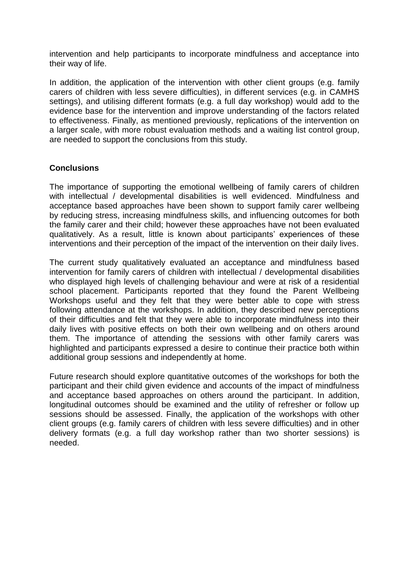intervention and help participants to incorporate mindfulness and acceptance into their way of life.

In addition, the application of the intervention with other client groups (e.g. family carers of children with less severe difficulties), in different services (e.g. in CAMHS settings), and utilising different formats (e.g. a full day workshop) would add to the evidence base for the intervention and improve understanding of the factors related to effectiveness. Finally, as mentioned previously, replications of the intervention on a larger scale, with more robust evaluation methods and a waiting list control group, are needed to support the conclusions from this study.

#### **Conclusions**

The importance of supporting the emotional wellbeing of family carers of children with intellectual / developmental disabilities is well evidenced. Mindfulness and acceptance based approaches have been shown to support family carer wellbeing by reducing stress, increasing mindfulness skills, and influencing outcomes for both the family carer and their child; however these approaches have not been evaluated qualitatively. As a result, little is known about participants' experiences of these interventions and their perception of the impact of the intervention on their daily lives.

The current study qualitatively evaluated an acceptance and mindfulness based intervention for family carers of children with intellectual / developmental disabilities who displayed high levels of challenging behaviour and were at risk of a residential school placement. Participants reported that they found the Parent Wellbeing Workshops useful and they felt that they were better able to cope with stress following attendance at the workshops. In addition, they described new perceptions of their difficulties and felt that they were able to incorporate mindfulness into their daily lives with positive effects on both their own wellbeing and on others around them. The importance of attending the sessions with other family carers was highlighted and participants expressed a desire to continue their practice both within additional group sessions and independently at home.

Future research should explore quantitative outcomes of the workshops for both the participant and their child given evidence and accounts of the impact of mindfulness and acceptance based approaches on others around the participant. In addition, longitudinal outcomes should be examined and the utility of refresher or follow up sessions should be assessed. Finally, the application of the workshops with other client groups (e.g. family carers of children with less severe difficulties) and in other delivery formats (e.g. a full day workshop rather than two shorter sessions) is needed.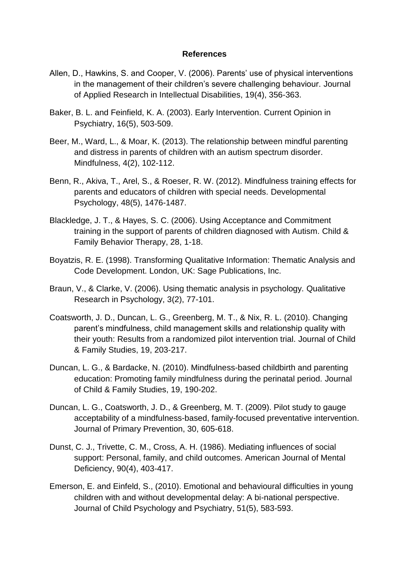#### **References**

- Allen, D., Hawkins, S. and Cooper, V. (2006). Parents' use of physical interventions in the management of their children's severe challenging behaviour. Journal of Applied Research in Intellectual Disabilities, 19(4), 356-363.
- Baker, B. L. and Feinfield, K. A. (2003). Early Intervention. Current Opinion in Psychiatry, 16(5), 503-509.
- Beer, M., Ward, L., & Moar, K. (2013). The relationship between mindful parenting and distress in parents of children with an autism spectrum disorder. Mindfulness, 4(2), 102-112.
- Benn, R., Akiva, T., Arel, S., & Roeser, R. W. (2012). Mindfulness training effects for parents and educators of children with special needs. Developmental Psychology, 48(5), 1476-1487.
- Blackledge, J. T., & Hayes, S. C. (2006). Using Acceptance and Commitment training in the support of parents of children diagnosed with Autism. Child & Family Behavior Therapy, 28, 1-18.
- Boyatzis, R. E. (1998). Transforming Qualitative Information: Thematic Analysis and Code Development. London, UK: Sage Publications, Inc.
- Braun, V., & Clarke, V. (2006). Using thematic analysis in psychology. Qualitative Research in Psychology, 3(2), 77-101.
- Coatsworth, J. D., Duncan, L. G., Greenberg, M. T., & Nix, R. L. (2010). Changing parent's mindfulness, child management skills and relationship quality with their youth: Results from a randomized pilot intervention trial. Journal of Child & Family Studies, 19, 203-217.
- Duncan, L. G., & Bardacke, N. (2010). Mindfulness-based childbirth and parenting education: Promoting family mindfulness during the perinatal period. Journal of Child & Family Studies, 19, 190-202.
- Duncan, L. G., Coatsworth, J. D., & Greenberg, M. T. (2009). Pilot study to gauge acceptability of a mindfulness-based, family-focused preventative intervention. Journal of Primary Prevention, 30, 605-618.
- Dunst, C. J., Trivette, C. M., Cross, A. H. (1986). Mediating influences of social support: Personal, family, and child outcomes. American Journal of Mental Deficiency, 90(4), 403-417.
- Emerson, E. and Einfeld, S., (2010). Emotional and behavioural difficulties in young children with and without developmental delay: A bi-national perspective. Journal of Child Psychology and Psychiatry, 51(5), 583-593.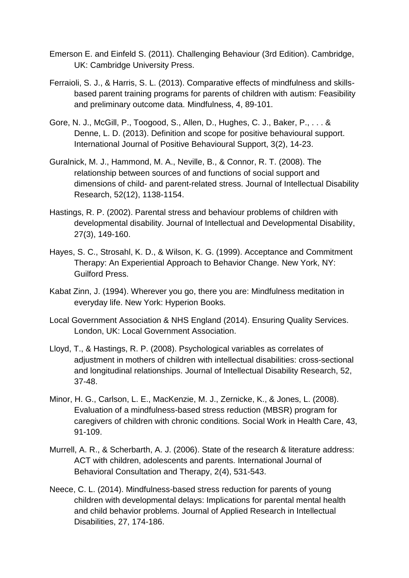- Emerson E. and Einfeld S. (2011). Challenging Behaviour (3rd Edition). Cambridge, UK: Cambridge University Press.
- Ferraioli, S. J., & Harris, S. L. (2013). Comparative effects of mindfulness and skillsbased parent training programs for parents of children with autism: Feasibility and preliminary outcome data. Mindfulness, 4, 89-101.
- Gore, N. J., McGill, P., Toogood, S., Allen, D., Hughes, C. J., Baker, P., . . . & Denne, L. D. (2013). Definition and scope for positive behavioural support. International Journal of Positive Behavioural Support, 3(2), 14-23.
- Guralnick, M. J., Hammond, M. A., Neville, B., & Connor, R. T. (2008). The relationship between sources of and functions of social support and dimensions of child- and parent-related stress. Journal of Intellectual Disability Research, 52(12), 1138-1154.
- Hastings, R. P. (2002). Parental stress and behaviour problems of children with developmental disability. Journal of Intellectual and Developmental Disability, 27(3), 149-160.
- Hayes, S. C., Strosahl, K. D., & Wilson, K. G. (1999). Acceptance and Commitment Therapy: An Experiential Approach to Behavior Change. New York, NY: Guilford Press.
- Kabat Zinn, J. (1994). Wherever you go, there you are: Mindfulness meditation in everyday life. New York: Hyperion Books.
- Local Government Association & NHS England (2014). Ensuring Quality Services. London, UK: Local Government Association.
- Lloyd, T., & Hastings, R. P. (2008). Psychological variables as correlates of adjustment in mothers of children with intellectual disabilities: cross-sectional and longitudinal relationships. Journal of Intellectual Disability Research, 52, 37-48.
- Minor, H. G., Carlson, L. E., MacKenzie, M. J., Zernicke, K., & Jones, L. (2008). Evaluation of a mindfulness-based stress reduction (MBSR) program for caregivers of children with chronic conditions. Social Work in Health Care, 43, 91-109.
- Murrell, A. R., & Scherbarth, A. J. (2006). State of the research & literature address: ACT with children, adolescents and parents. International Journal of Behavioral Consultation and Therapy, 2(4), 531-543.
- Neece, C. L. (2014). Mindfulness-based stress reduction for parents of young children with developmental delays: Implications for parental mental health and child behavior problems. Journal of Applied Research in Intellectual Disabilities, 27, 174-186.